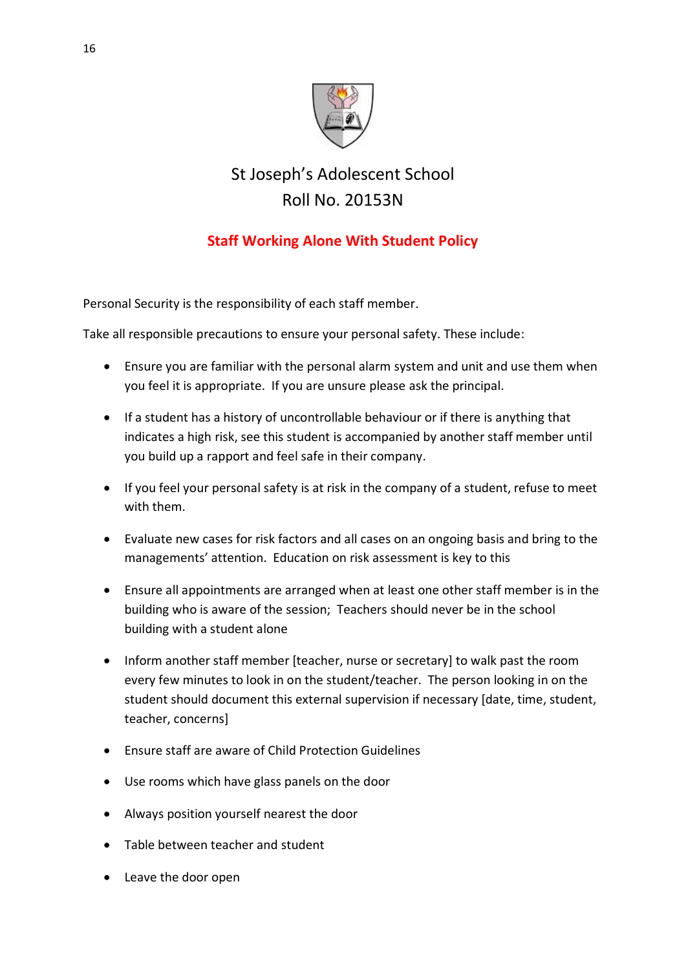

## St Joseph's Adolescent School Roll No. 20153N

## **Staff Working Alone With Student Policy**

Personal Security is the responsibility of each staff member.

Take all responsible precautions to ensure your personal safety. These include:

- Ensure you are familiar with the personal alarm system and unit and use them when you feel it is appropriate. If you are unsure please ask the principal.
- If a student has a history of uncontrollable behaviour or if there is anything that indicates a high risk, see this student is accompanied by another staff member until you build up a rapport and feel safe in their company.
- If you feel your personal safety is at risk in the company of a student, refuse to meet with them.
- Evaluate new cases for risk factors and all cases on an ongoing basis and bring to the managements' attention. Education on risk assessment is key to this
- Ensure all appointments are arranged when at least one other staff member is in the building who is aware of the session; Teachers should never be in the school building with a student alone
- Inform another staff member [teacher, nurse or secretary] to walk past the room every few minutes to look in on the student/teacher. The person looking in on the student should document this external supervision if necessary [date, time, student, teacher, concerns]
- Ensure staff are aware of Child Protection Guidelines
- Use rooms which have glass panels on the door
- Always position yourself nearest the door
- Table between teacher and student
- Leave the door open